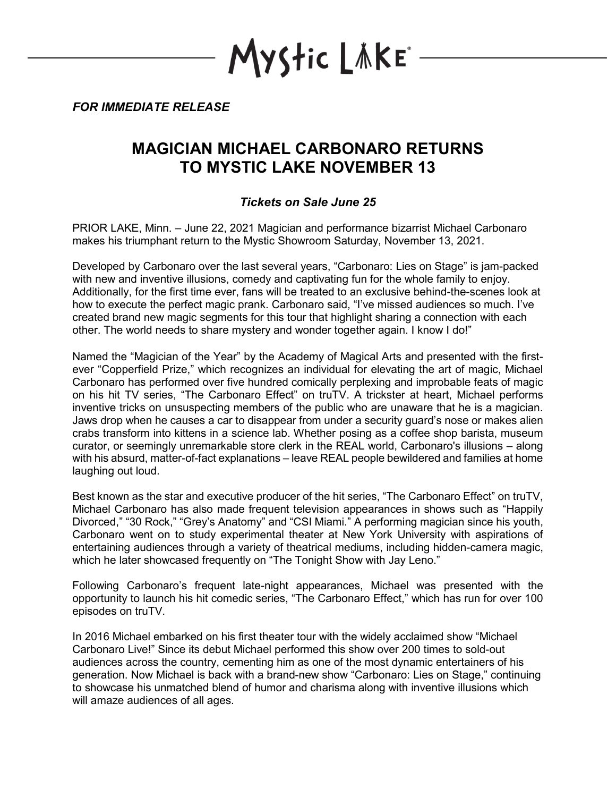**lyStic LÄKE**\*

*FOR IMMEDIATE RELEASE*

## **MAGICIAN MICHAEL CARBONARO RETURNS TO MYSTIC LAKE NOVEMBER 13**

## *Tickets on Sale June 25*

PRIOR LAKE, Minn. – June 22, 2021 Magician and performance bizarrist Michael Carbonaro makes his triumphant return to the Mystic Showroom Saturday, November 13, 2021.

Developed by Carbonaro over the last several years, "Carbonaro: Lies on Stage" is jam-packed with new and inventive illusions, comedy and captivating fun for the whole family to enjoy. Additionally, for the first time ever, fans will be treated to an exclusive behind-the-scenes look at how to execute the perfect magic prank. Carbonaro said, "I've missed audiences so much. I've created brand new magic segments for this tour that highlight sharing a connection with each other. The world needs to share mystery and wonder together again. I know I do!"

Named the "Magician of the Year" by the Academy of Magical Arts and presented with the firstever "Copperfield Prize," which recognizes an individual for elevating the art of magic, Michael Carbonaro has performed over five hundred comically perplexing and improbable feats of magic on his hit TV series, "The Carbonaro Effect" on truTV. A trickster at heart, Michael performs inventive tricks on unsuspecting members of the public who are unaware that he is a magician. Jaws drop when he causes a car to disappear from under a security guard's nose or makes alien crabs transform into kittens in a science lab. Whether posing as a coffee shop barista, museum curator, or seemingly unremarkable store clerk in the REAL world, Carbonaro's illusions – along with his absurd, matter-of-fact explanations – leave REAL people bewildered and families at home laughing out loud.

Best known as the star and executive producer of the hit series, "The Carbonaro Effect" on truTV, Michael Carbonaro has also made frequent television appearances in shows such as "Happily Divorced," "30 Rock," "Grey's Anatomy" and "CSI Miami." A performing magician since his youth, Carbonaro went on to study experimental theater at New York University with aspirations of entertaining audiences through a variety of theatrical mediums, including hidden-camera magic, which he later showcased frequently on "The Tonight Show with Jay Leno."

Following Carbonaro's frequent late-night appearances, Michael was presented with the opportunity to launch his hit comedic series, "The Carbonaro Effect," which has run for over 100 episodes on truTV.

In 2016 Michael embarked on his first theater tour with the widely acclaimed show "Michael Carbonaro Live!" Since its debut Michael performed this show over 200 times to sold-out audiences across the country, cementing him as one of the most dynamic entertainers of his generation. Now Michael is back with a brand-new show "Carbonaro: Lies on Stage," continuing to showcase his unmatched blend of humor and charisma along with inventive illusions which will amaze audiences of all ages.